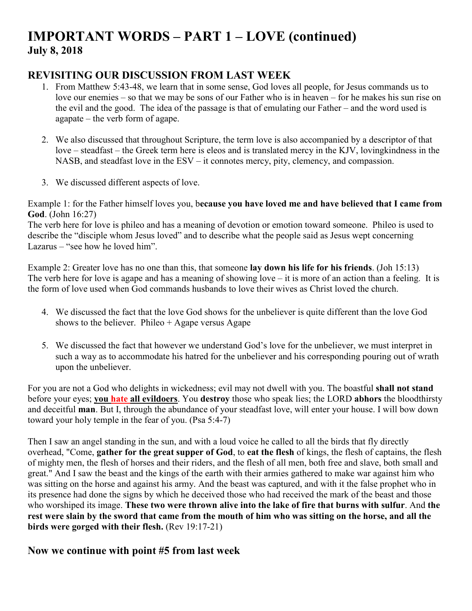# **IMPORTANT WORDS – PART 1 – LOVE (continued) July 8, 2018**

## **REVISITING OUR DISCUSSION FROM LAST WEEK**

- 1. From Matthew 5:43-48, we learn that in some sense, God loves all people, for Jesus commands us to love our enemies – so that we may be sons of our Father who is in heaven – for he makes his sun rise on the evil and the good. The idea of the passage is that of emulating our Father – and the word used is agapate – the verb form of agape.
- 2. We also discussed that throughout Scripture, the term love is also accompanied by a descriptor of that love – steadfast – the Greek term here is eleos and is translated mercy in the KJV, lovingkindness in the NASB, and steadfast love in the ESV – it connotes mercy, pity, clemency, and compassion.
- 3. We discussed different aspects of love.

Example 1: for the Father himself loves you, b**ecause you have loved me and have believed that I came from God**. (John 16:27)

The verb here for love is phileo and has a meaning of devotion or emotion toward someone. Phileo is used to describe the "disciple whom Jesus loved" and to describe what the people said as Jesus wept concerning Lazarus – "see how he loved him".

Example 2: Greater love has no one than this, that someone **lay down his life for his friends**. (Joh 15:13) The verb here for love is agape and has a meaning of showing love – it is more of an action than a feeling. It is the form of love used when God commands husbands to love their wives as Christ loved the church.

- 4. We discussed the fact that the love God shows for the unbeliever is quite different than the love God shows to the believer. Phileo  $+$  Agape versus Agape
- 5. We discussed the fact that however we understand God's love for the unbeliever, we must interpret in such a way as to accommodate his hatred for the unbeliever and his corresponding pouring out of wrath upon the unbeliever.

For you are not a God who delights in wickedness; evil may not dwell with you. The boastful **shall not stand** before your eyes; **you hate all evildoers**. You **destroy** those who speak lies; the LORD **abhors** the bloodthirsty and deceitful **man**. But I, through the abundance of your steadfast love, will enter your house. I will bow down toward your holy temple in the fear of you. (Psa 5:4-7)

Then I saw an angel standing in the sun, and with a loud voice he called to all the birds that fly directly overhead, "Come, **gather for the great supper of God**, to **eat the flesh** of kings, the flesh of captains, the flesh of mighty men, the flesh of horses and their riders, and the flesh of all men, both free and slave, both small and great." And I saw the beast and the kings of the earth with their armies gathered to make war against him who was sitting on the horse and against his army. And the beast was captured, and with it the false prophet who in its presence had done the signs by which he deceived those who had received the mark of the beast and those who worshiped its image. **These two were thrown alive into the lake of fire that burns with sulfur**. And **the rest were slain by the sword that came from the mouth of him who was sitting on the horse, and all the birds were gorged with their flesh.** (Rev 19:17-21)

#### **Now we continue with point #5 from last week**